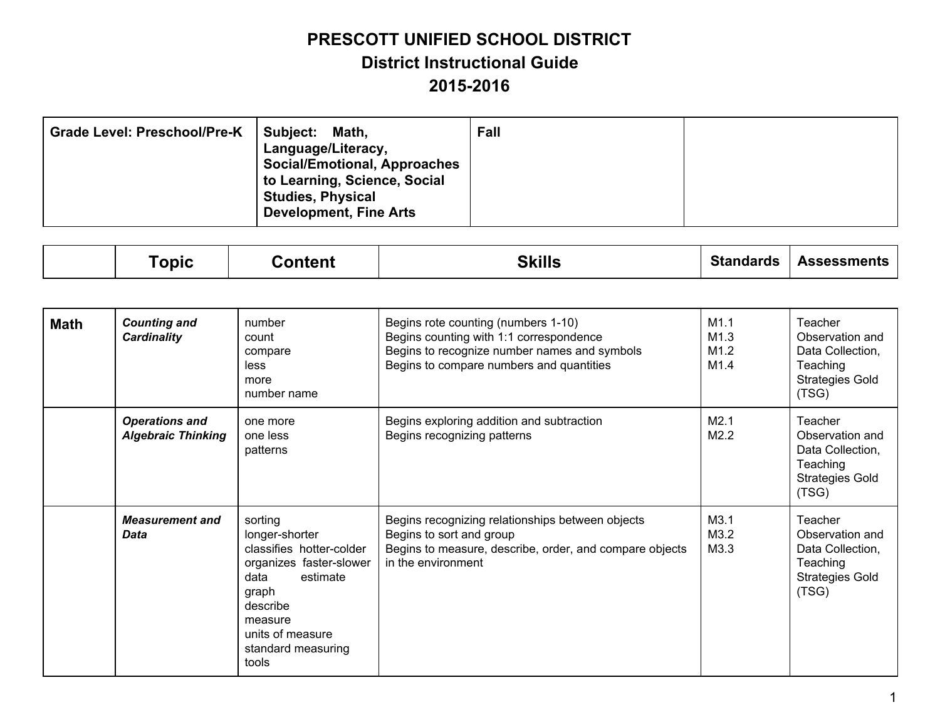| <b>Grade Level: Preschool/Pre-K</b> | Subject:<br>Math,<br>Language/Literacy,<br><b>Social/Emotional, Approaches</b><br>to Learning, Science, Social<br><b>Studies, Physical</b><br><b>Development, Fine Arts</b> | Fall |  |
|-------------------------------------|-----------------------------------------------------------------------------------------------------------------------------------------------------------------------------|------|--|
|-------------------------------------|-----------------------------------------------------------------------------------------------------------------------------------------------------------------------------|------|--|

|  | opic | ∶ontent | <b>CITII</b><br>¬ .<br>лшэ. | Standards | ssessments<br>$\cdots$ |
|--|------|---------|-----------------------------|-----------|------------------------|
|--|------|---------|-----------------------------|-----------|------------------------|

| <b>Math</b> | <b>Counting and</b><br><b>Cardinality</b>          | number<br>count<br>compare<br>less<br>more<br>number name                                                                                                                               | Begins rote counting (numbers 1-10)<br>Begins counting with 1:1 correspondence<br>Begins to recognize number names and symbols<br>Begins to compare numbers and quantities | M1.1<br>M1.3<br>M1.2<br>M1.4 | Teacher<br>Observation and<br>Data Collection,<br>Teaching<br><b>Strategies Gold</b><br>(TSG) |
|-------------|----------------------------------------------------|-----------------------------------------------------------------------------------------------------------------------------------------------------------------------------------------|----------------------------------------------------------------------------------------------------------------------------------------------------------------------------|------------------------------|-----------------------------------------------------------------------------------------------|
|             | <b>Operations and</b><br><b>Algebraic Thinking</b> | one more<br>one less<br>patterns                                                                                                                                                        | Begins exploring addition and subtraction<br>Begins recognizing patterns                                                                                                   | M2.1<br>M2.2                 | Teacher<br>Observation and<br>Data Collection,<br>Teaching<br><b>Strategies Gold</b><br>(TSG) |
|             | <b>Measurement and</b><br>Data                     | sorting<br>longer-shorter<br>classifies hotter-colder<br>organizes faster-slower<br>data<br>estimate<br>graph<br>describe<br>measure<br>units of measure<br>standard measuring<br>tools | Begins recognizing relationships between objects<br>Begins to sort and group<br>Begins to measure, describe, order, and compare objects<br>in the environment              | M3.1<br>M3.2<br>M3.3         | Teacher<br>Observation and<br>Data Collection,<br>Teaching<br><b>Strategies Gold</b><br>(TSG) |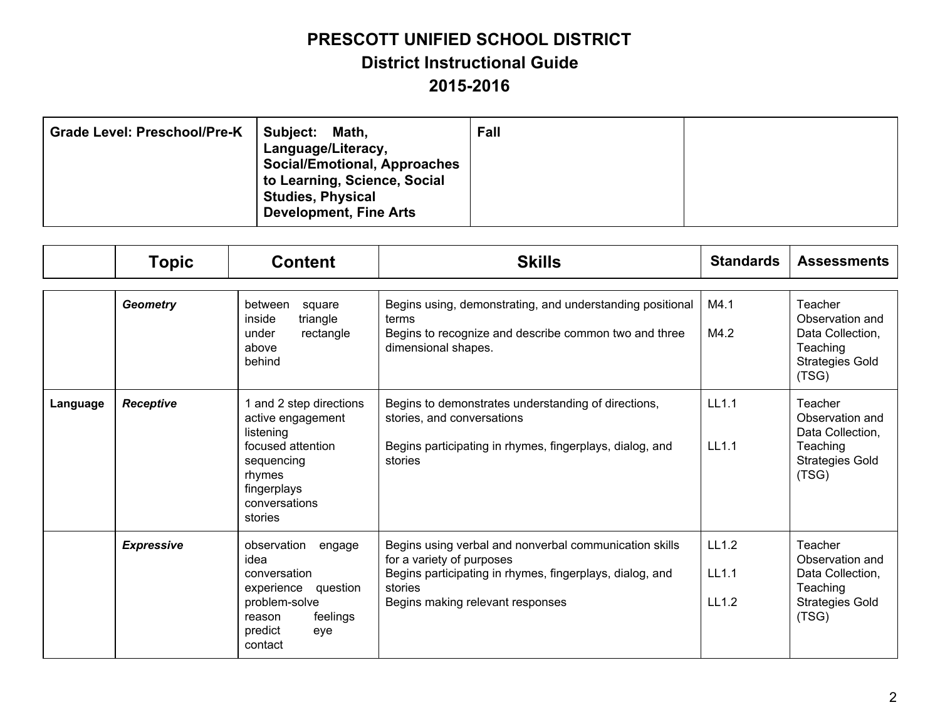| <b>Grade Level: Preschool/Pre-K</b> | Subject:<br>Math,<br>Language/Literacy,<br><b>Social/Emotional, Approaches</b><br>to Learning, Science, Social<br><b>Studies, Physical</b><br><b>Development, Fine Arts</b> | Fall |  |
|-------------------------------------|-----------------------------------------------------------------------------------------------------------------------------------------------------------------------------|------|--|
|-------------------------------------|-----------------------------------------------------------------------------------------------------------------------------------------------------------------------------|------|--|

|          | <b>Topic</b>      | <b>Content</b>                                                                                                                                    | <b>Skills</b>                                                                                                                                                                                  | <b>Standards</b>        | <b>Assessments</b>                                                                            |
|----------|-------------------|---------------------------------------------------------------------------------------------------------------------------------------------------|------------------------------------------------------------------------------------------------------------------------------------------------------------------------------------------------|-------------------------|-----------------------------------------------------------------------------------------------|
|          |                   |                                                                                                                                                   |                                                                                                                                                                                                |                         |                                                                                               |
|          | <b>Geometry</b>   | between<br>square<br>inside<br>triangle<br>under<br>rectangle<br>above<br>behind                                                                  | Begins using, demonstrating, and understanding positional<br>terms<br>Begins to recognize and describe common two and three<br>dimensional shapes.                                             | M4.1<br>M4.2            | Teacher<br>Observation and<br>Data Collection,<br>Teaching<br><b>Strategies Gold</b><br>(TSG) |
| Language | <b>Receptive</b>  | 1 and 2 step directions<br>active engagement<br>listening<br>focused attention<br>sequencing<br>rhymes<br>fingerplays<br>conversations<br>stories | Begins to demonstrates understanding of directions,<br>stories, and conversations<br>Begins participating in rhymes, fingerplays, dialog, and<br>stories                                       | LL1.1<br>LL1.1          | Teacher<br>Observation and<br>Data Collection,<br>Teaching<br><b>Strategies Gold</b><br>(TSG) |
|          | <b>Expressive</b> | observation<br>engage<br>idea<br>conversation<br>experience question<br>problem-solve<br>feelings<br>reason<br>predict<br>eye<br>contact          | Begins using verbal and nonverbal communication skills<br>for a variety of purposes<br>Begins participating in rhymes, fingerplays, dialog, and<br>stories<br>Begins making relevant responses | LL1.2<br>LL1.1<br>LL1.2 | Teacher<br>Observation and<br>Data Collection,<br>Teaching<br><b>Strategies Gold</b><br>(TSG) |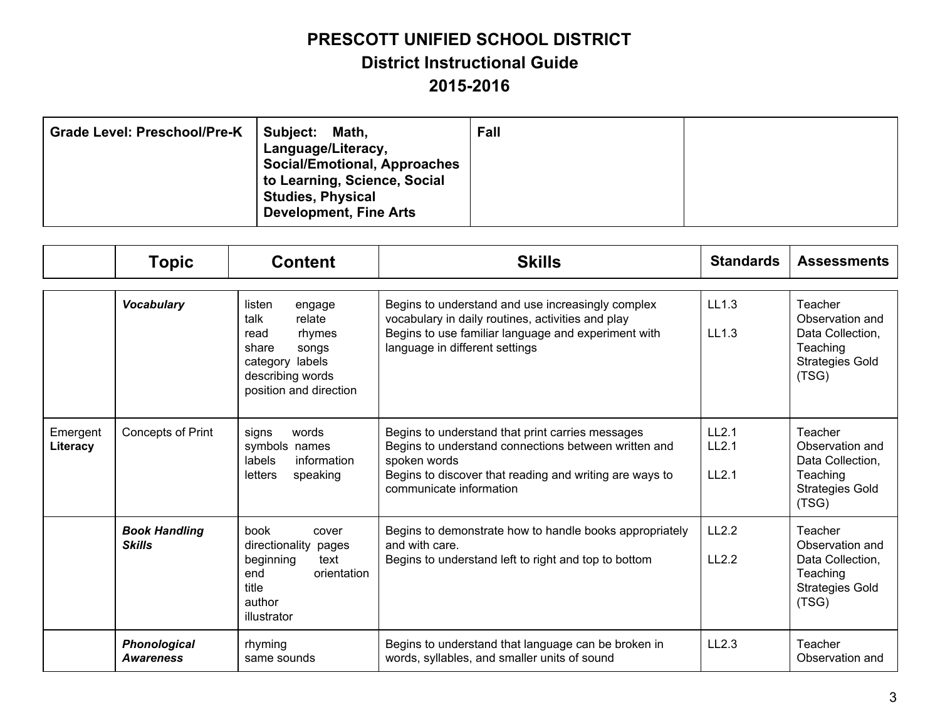| <b>Grade Level: Preschool/Pre-K</b><br>Subject:<br>Math,<br>Language/Literacy,<br><b>Social/Emotional, Approaches</b><br>to Learning, Science, Social<br><b>Studies, Physical</b><br><b>Development, Fine Arts</b> | Fall |
|--------------------------------------------------------------------------------------------------------------------------------------------------------------------------------------------------------------------|------|
|--------------------------------------------------------------------------------------------------------------------------------------------------------------------------------------------------------------------|------|

|                      | <b>Topic</b>                            | <b>Content</b>                                                                                                                          | <b>Skills</b>                                                                                                                                                                                                  | <b>Standards</b>                                | <b>Assessments</b>                                                                            |
|----------------------|-----------------------------------------|-----------------------------------------------------------------------------------------------------------------------------------------|----------------------------------------------------------------------------------------------------------------------------------------------------------------------------------------------------------------|-------------------------------------------------|-----------------------------------------------------------------------------------------------|
|                      | <b>Vocabulary</b>                       | listen<br>engage<br>talk<br>relate<br>rhymes<br>read<br>share<br>songs<br>category labels<br>describing words<br>position and direction | Begins to understand and use increasingly complex<br>vocabulary in daily routines, activities and play<br>Begins to use familiar language and experiment with<br>language in different settings                | LL1.3<br>LL1.3                                  | Teacher<br>Observation and<br>Data Collection.<br>Teaching<br><b>Strategies Gold</b><br>(TSG) |
| Emergent<br>Literacy | <b>Concepts of Print</b>                | signs<br>words<br>symbols names<br>labels<br>information<br>letters<br>speaking                                                         | Begins to understand that print carries messages<br>Begins to understand connections between written and<br>spoken words<br>Begins to discover that reading and writing are ways to<br>communicate information | LL <sub>2.1</sub><br>LL <sub>2.1</sub><br>LL2.1 | Teacher<br>Observation and<br>Data Collection,<br>Teaching<br><b>Strategies Gold</b><br>(TSG) |
|                      | <b>Book Handling</b><br><b>Skills</b>   | book<br>cover<br>directionality pages<br>beginning<br>text<br>orientation<br>end<br>title<br>author<br>illustrator                      | Begins to demonstrate how to handle books appropriately<br>and with care.<br>Begins to understand left to right and top to bottom                                                                              | LL2.2<br>L12.2                                  | Teacher<br>Observation and<br>Data Collection,<br>Teaching<br><b>Strategies Gold</b><br>(TSG) |
|                      | <b>Phonological</b><br><b>Awareness</b> | rhyming<br>same sounds                                                                                                                  | Begins to understand that language can be broken in<br>words, syllables, and smaller units of sound                                                                                                            | LL2.3                                           | Teacher<br>Observation and                                                                    |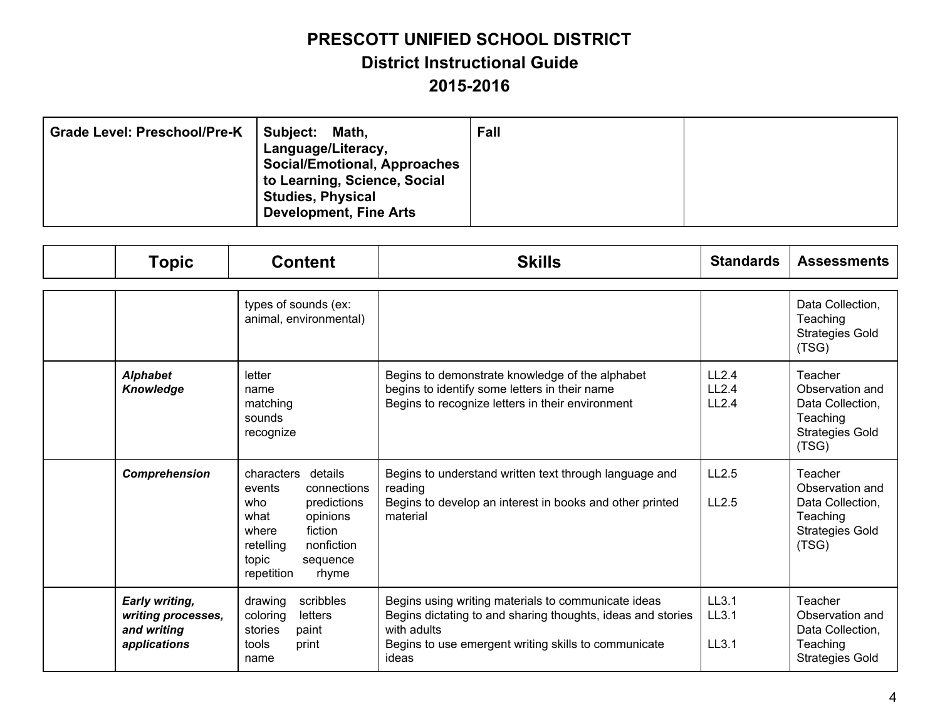| Subject: Math,<br><b>Grade Level: Preschool/Pre-K</b><br>Language/Literacy,<br><b>Social/Emotional, Approaches</b><br>to Learning, Science, Social<br><b>Studies, Physical</b><br><b>Development, Fine Arts</b> | Fall |  |
|-----------------------------------------------------------------------------------------------------------------------------------------------------------------------------------------------------------------|------|--|
|-----------------------------------------------------------------------------------------------------------------------------------------------------------------------------------------------------------------|------|--|

| <b>Topic</b>                                                               | <b>Content</b>                                                                                                                                                                      | <b>Skills</b>                                                                                                                                                                                      | <b>Standards</b>        | <b>Assessments</b>                                                                            |
|----------------------------------------------------------------------------|-------------------------------------------------------------------------------------------------------------------------------------------------------------------------------------|----------------------------------------------------------------------------------------------------------------------------------------------------------------------------------------------------|-------------------------|-----------------------------------------------------------------------------------------------|
|                                                                            | types of sounds (ex:<br>animal, environmental)                                                                                                                                      |                                                                                                                                                                                                    |                         | Data Collection,<br>Teaching<br><b>Strategies Gold</b><br>(TSG)                               |
| <b>Alphabet</b><br>Knowledge                                               | letter<br>name<br>matching<br>sounds<br>recognize                                                                                                                                   | Begins to demonstrate knowledge of the alphabet<br>begins to identify some letters in their name<br>Begins to recognize letters in their environment                                               | LL2.4<br>LL2.4<br>LL2.4 | Teacher<br>Observation and<br>Data Collection,<br>Teaching<br><b>Strategies Gold</b><br>(TSG) |
| Comprehension                                                              | characters<br>details<br>connections<br>events<br>who<br>predictions<br>what<br>opinions<br>fiction<br>where<br>retelling<br>nonfiction<br>topic<br>sequence<br>repetition<br>rhyme | Begins to understand written text through language and<br>reading<br>Begins to develop an interest in books and other printed<br>material                                                          | LL2.5<br>LL2.5          | Teacher<br>Observation and<br>Data Collection,<br>Teaching<br><b>Strategies Gold</b><br>(TSG) |
| <b>Early writing,</b><br>writing processes,<br>and writing<br>applications | drawing<br>scribbles<br>coloring<br>letters<br>stories<br>paint<br>tools<br>print<br>name                                                                                           | Begins using writing materials to communicate ideas<br>Begins dictating to and sharing thoughts, ideas and stories<br>with adults<br>Begins to use emergent writing skills to communicate<br>ideas | LL3.1<br>LL3.1<br>LL3.1 | Teacher<br>Observation and<br>Data Collection,<br>Teaching<br><b>Strategies Gold</b>          |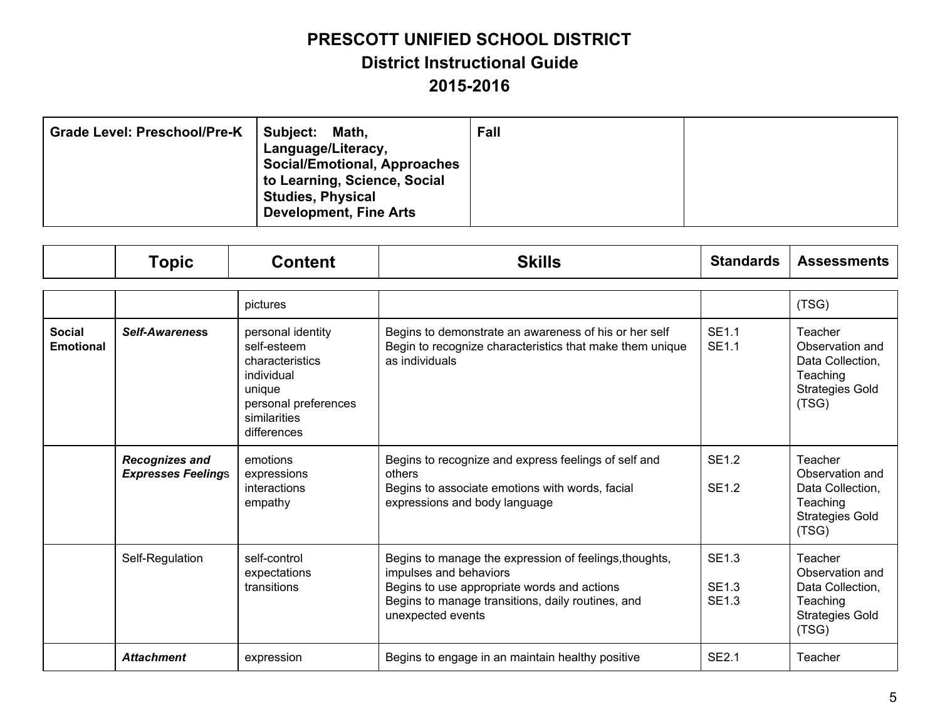| <b>Grade Level: Preschool/Pre-K</b><br><b>Subject:</b><br>Language/Literacy,<br><b>Studies, Physical</b><br><b>Development, Fine Arts</b> | Fall<br>Math,<br><b>Social/Emotional, Approaches</b><br>to Learning, Science, Social |  |
|-------------------------------------------------------------------------------------------------------------------------------------------|--------------------------------------------------------------------------------------|--|
|-------------------------------------------------------------------------------------------------------------------------------------------|--------------------------------------------------------------------------------------|--|

|                                   | <b>Topic</b>                                       | <b>Content</b>                                                                                                                     | <b>Skills</b>                                                                                                                                                                                             | <b>Standards</b>                             | <b>Assessments</b>                                                                            |
|-----------------------------------|----------------------------------------------------|------------------------------------------------------------------------------------------------------------------------------------|-----------------------------------------------------------------------------------------------------------------------------------------------------------------------------------------------------------|----------------------------------------------|-----------------------------------------------------------------------------------------------|
|                                   |                                                    | pictures                                                                                                                           |                                                                                                                                                                                                           |                                              | (TSG)                                                                                         |
| <b>Social</b><br><b>Emotional</b> | <b>Self-Awareness</b>                              | personal identity<br>self-esteem<br>characteristics<br>individual<br>unique<br>personal preferences<br>similarities<br>differences | Begins to demonstrate an awareness of his or her self<br>Begin to recognize characteristics that make them unique<br>as individuals                                                                       | <b>SE1.1</b><br><b>SE1.1</b>                 | Teacher<br>Observation and<br>Data Collection,<br>Teaching<br><b>Strategies Gold</b><br>(TSG) |
|                                   | <b>Recognizes and</b><br><b>Expresses Feelings</b> | emotions<br>expressions<br>interactions<br>empathy                                                                                 | Begins to recognize and express feelings of self and<br>others<br>Begins to associate emotions with words, facial<br>expressions and body language                                                        | <b>SE1.2</b><br><b>SE1.2</b>                 | Teacher<br>Observation and<br>Data Collection,<br>Teaching<br><b>Strategies Gold</b><br>(TSG) |
|                                   | Self-Regulation                                    | self-control<br>expectations<br>transitions                                                                                        | Begins to manage the expression of feelings, thoughts,<br>impulses and behaviors<br>Begins to use appropriate words and actions<br>Begins to manage transitions, daily routines, and<br>unexpected events | <b>SE1.3</b><br><b>SE1.3</b><br><b>SE1.3</b> | Teacher<br>Observation and<br>Data Collection,<br>Teaching<br><b>Strategies Gold</b><br>(TSG) |
|                                   | <b>Attachment</b>                                  | expression                                                                                                                         | Begins to engage in an maintain healthy positive                                                                                                                                                          | <b>SE2.1</b>                                 | Teacher                                                                                       |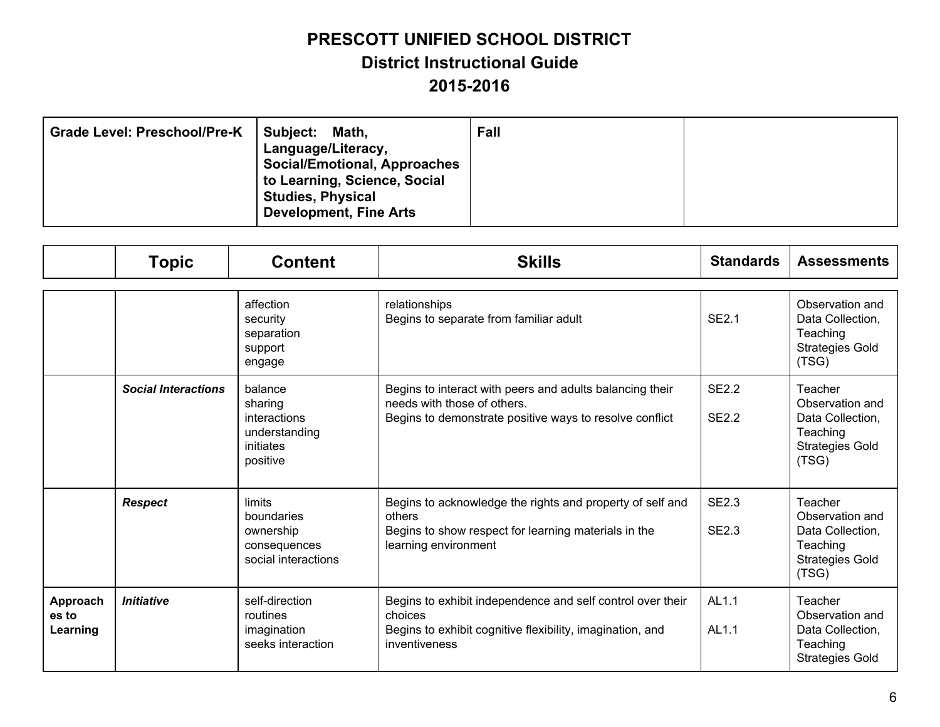| Subject:<br><b>Grade Level: Preschool/Pre-K</b><br>Math,<br>Language/Literacy,<br><b>Social/Emotional, Approaches</b><br>to Learning, Science, Social<br><b>Studies, Physical</b><br><b>Development, Fine Arts</b> | Fall |
|--------------------------------------------------------------------------------------------------------------------------------------------------------------------------------------------------------------------|------|
|--------------------------------------------------------------------------------------------------------------------------------------------------------------------------------------------------------------------|------|

|                               | <b>Topic</b>               | <b>Content</b>                                                               | <b>Skills</b>                                                                                                                                       | <b>Standards</b>             | <b>Assessments</b>                                                                            |
|-------------------------------|----------------------------|------------------------------------------------------------------------------|-----------------------------------------------------------------------------------------------------------------------------------------------------|------------------------------|-----------------------------------------------------------------------------------------------|
|                               |                            | affection<br>security<br>separation<br>support<br>engage                     | relationships<br>Begins to separate from familiar adult                                                                                             | <b>SE2.1</b>                 | Observation and<br>Data Collection,<br>Teaching<br><b>Strategies Gold</b><br>(TSG)            |
|                               | <b>Social Interactions</b> | balance<br>sharing<br>interactions<br>understanding<br>initiates<br>positive | Begins to interact with peers and adults balancing their<br>needs with those of others.<br>Begins to demonstrate positive ways to resolve conflict  | <b>SE2.2</b><br><b>SE2.2</b> | Teacher<br>Observation and<br>Data Collection,<br>Teaching<br><b>Strategies Gold</b><br>(TSG) |
|                               | <b>Respect</b>             | limits<br>boundaries<br>ownership<br>consequences<br>social interactions     | Begins to acknowledge the rights and property of self and<br>others<br>Begins to show respect for learning materials in the<br>learning environment | <b>SE2.3</b><br><b>SE2.3</b> | Teacher<br>Observation and<br>Data Collection,<br>Teaching<br><b>Strategies Gold</b><br>(TSG) |
| Approach<br>es to<br>Learning | <b>Initiative</b>          | self-direction<br>routines<br>imagination<br>seeks interaction               | Begins to exhibit independence and self control over their<br>choices<br>Begins to exhibit cognitive flexibility, imagination, and<br>inventiveness | AL1.1<br>AL1.1               | Teacher<br>Observation and<br>Data Collection,<br>Teaching<br><b>Strategies Gold</b>          |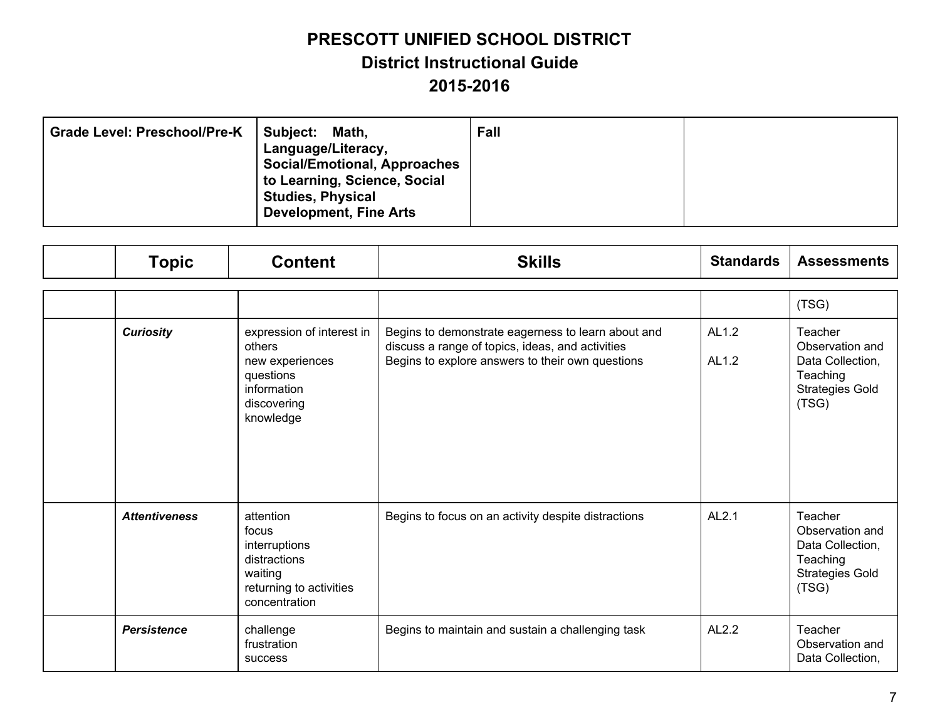| <b>Grade Level: Preschool/Pre-K</b><br>Subject: | Math,<br>Language/Literacy,<br><b>Social/Emotional, Approaches</b><br>to Learning, Science, Social<br><b>Studies, Physical</b><br><b>Development, Fine Arts</b> | Fall |  |
|-------------------------------------------------|-----------------------------------------------------------------------------------------------------------------------------------------------------------------|------|--|
|-------------------------------------------------|-----------------------------------------------------------------------------------------------------------------------------------------------------------------|------|--|

| <b>Topic</b>         | <b>Content</b>                                                                                                 | <b>Skills</b>                                                                                                                                              | <b>Standards</b> | <b>Assessments</b>                                                                            |
|----------------------|----------------------------------------------------------------------------------------------------------------|------------------------------------------------------------------------------------------------------------------------------------------------------------|------------------|-----------------------------------------------------------------------------------------------|
|                      |                                                                                                                |                                                                                                                                                            |                  | (TSG)                                                                                         |
| <b>Curiosity</b>     | expression of interest in<br>others<br>new experiences<br>questions<br>information<br>discovering<br>knowledge | Begins to demonstrate eagerness to learn about and<br>discuss a range of topics, ideas, and activities<br>Begins to explore answers to their own questions | AL1.2<br>AL1.2   | Teacher<br>Observation and<br>Data Collection,<br>Teaching<br><b>Strategies Gold</b><br>(TSG) |
| <b>Attentiveness</b> | attention<br>focus<br>interruptions<br>distractions<br>waiting<br>returning to activities<br>concentration     | Begins to focus on an activity despite distractions                                                                                                        | AL2.1            | Teacher<br>Observation and<br>Data Collection,<br>Teaching<br><b>Strategies Gold</b><br>(TSG) |
| <b>Persistence</b>   | challenge<br>frustration<br>success                                                                            | Begins to maintain and sustain a challenging task                                                                                                          | AL2.2            | Teacher<br>Observation and<br>Data Collection,                                                |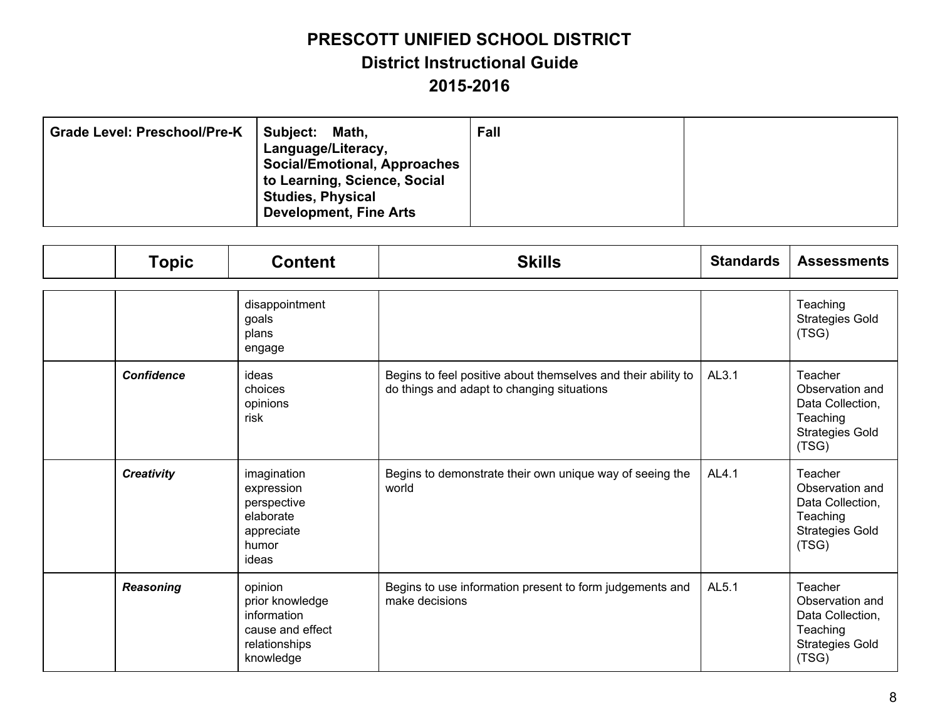| <b>Grade Level: Preschool/Pre-K</b><br>Subject: | Math,<br>Language/Literacy,<br><b>Social/Emotional, Approaches</b><br>to Learning, Science, Social<br><b>Studies, Physical</b><br><b>Development, Fine Arts</b> | Fall |  |
|-------------------------------------------------|-----------------------------------------------------------------------------------------------------------------------------------------------------------------|------|--|
|-------------------------------------------------|-----------------------------------------------------------------------------------------------------------------------------------------------------------------|------|--|

| <b>Topic</b>      | <b>Content</b>                                                                              | <b>Skills</b>                                                                                               | <b>Standards</b> | <b>Assessments</b>                                                                            |
|-------------------|---------------------------------------------------------------------------------------------|-------------------------------------------------------------------------------------------------------------|------------------|-----------------------------------------------------------------------------------------------|
|                   | disappointment<br>goals<br>plans<br>engage                                                  |                                                                                                             |                  | Teaching<br><b>Strategies Gold</b><br>(TSG)                                                   |
| <b>Confidence</b> | ideas<br>choices<br>opinions<br>risk                                                        | Begins to feel positive about themselves and their ability to<br>do things and adapt to changing situations | AL3.1            | Teacher<br>Observation and<br>Data Collection,<br>Teaching<br><b>Strategies Gold</b><br>(TSG) |
| <b>Creativity</b> | imagination<br>expression<br>perspective<br>elaborate<br>appreciate<br>humor<br>ideas       | Begins to demonstrate their own unique way of seeing the<br>world                                           | AL4.1            | Teacher<br>Observation and<br>Data Collection,<br>Teaching<br><b>Strategies Gold</b><br>(TSG) |
| <b>Reasoning</b>  | opinion<br>prior knowledge<br>information<br>cause and effect<br>relationships<br>knowledge | Begins to use information present to form judgements and<br>make decisions                                  | AL5.1            | Teacher<br>Observation and<br>Data Collection,<br>Teaching<br><b>Strategies Gold</b><br>(TSG) |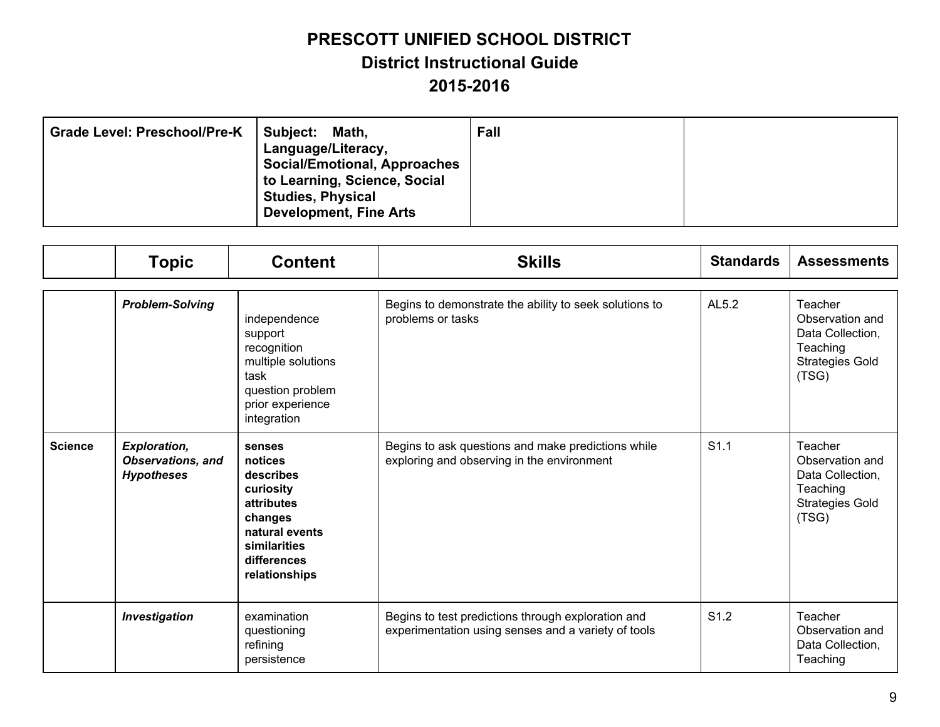| Subject:<br><b>Grade Level: Preschool/Pre-K</b><br>Math,<br>Language/Literacy,<br><b>Social/Emotional, Approaches</b><br>to Learning, Science, Social<br><b>Studies, Physical</b><br><b>Development, Fine Arts</b> | Fall |
|--------------------------------------------------------------------------------------------------------------------------------------------------------------------------------------------------------------------|------|
|--------------------------------------------------------------------------------------------------------------------------------------------------------------------------------------------------------------------|------|

|                | <b>Topic</b>                                                         | <b>Content</b>                                                                                                                         | <b>Skills</b>                                                                                             | <b>Standards</b> | <b>Assessments</b>                                                                            |
|----------------|----------------------------------------------------------------------|----------------------------------------------------------------------------------------------------------------------------------------|-----------------------------------------------------------------------------------------------------------|------------------|-----------------------------------------------------------------------------------------------|
|                | <b>Problem-Solving</b>                                               | independence<br>support<br>recognition<br>multiple solutions<br>task<br>question problem<br>prior experience<br>integration            | Begins to demonstrate the ability to seek solutions to<br>problems or tasks                               | AL5.2            | Teacher<br>Observation and<br>Data Collection,<br>Teaching<br><b>Strategies Gold</b><br>(TSG) |
| <b>Science</b> | <b>Exploration,</b><br><b>Observations, and</b><br><b>Hypotheses</b> | senses<br>notices<br>describes<br>curiosity<br>attributes<br>changes<br>natural events<br>similarities<br>differences<br>relationships | Begins to ask questions and make predictions while<br>exploring and observing in the environment          | S1.1             | Teacher<br>Observation and<br>Data Collection,<br>Teaching<br><b>Strategies Gold</b><br>(TSG) |
|                | <b>Investigation</b>                                                 | examination<br>questioning<br>refining<br>persistence                                                                                  | Begins to test predictions through exploration and<br>experimentation using senses and a variety of tools | S <sub>1.2</sub> | Teacher<br>Observation and<br>Data Collection,<br>Teaching                                    |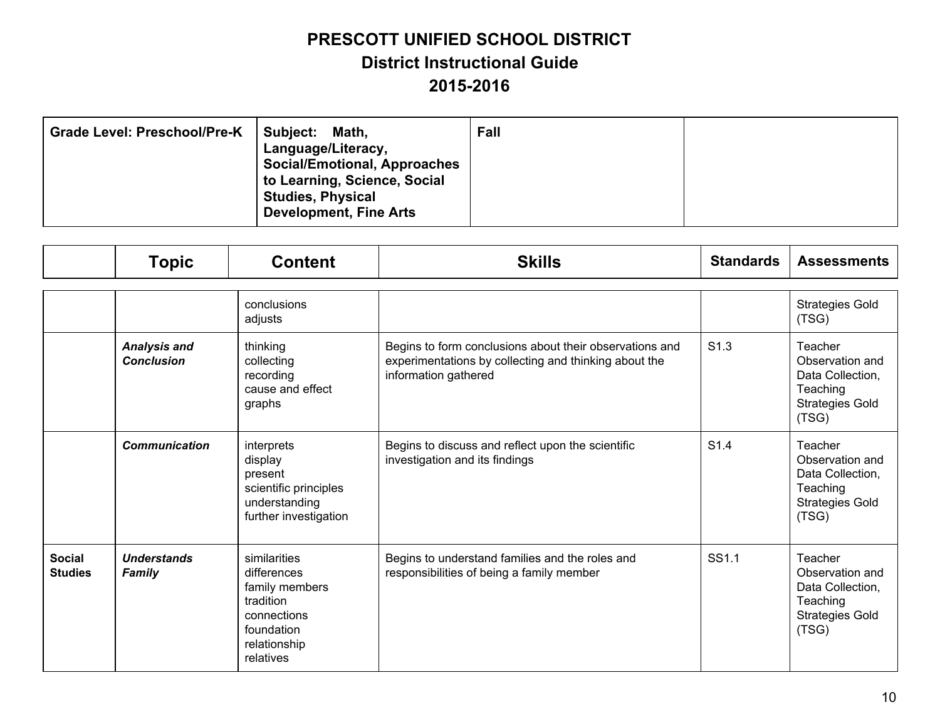| <b>Grade Level: Preschool/Pre-K</b><br>Subject: | Math,<br>Language/Literacy,<br><b>Social/Emotional, Approaches</b><br>to Learning, Science, Social<br><b>Studies, Physical</b><br><b>Development, Fine Arts</b> | Fall |  |
|-------------------------------------------------|-----------------------------------------------------------------------------------------------------------------------------------------------------------------|------|--|
|-------------------------------------------------|-----------------------------------------------------------------------------------------------------------------------------------------------------------------|------|--|

|                                 | <b>Topic</b>                             | <b>Content</b>                                                                                                       | <b>Skills</b>                                                                                                                            | <b>Standards</b> | <b>Assessments</b>                                                                            |
|---------------------------------|------------------------------------------|----------------------------------------------------------------------------------------------------------------------|------------------------------------------------------------------------------------------------------------------------------------------|------------------|-----------------------------------------------------------------------------------------------|
|                                 |                                          | conclusions<br>adjusts                                                                                               |                                                                                                                                          |                  | <b>Strategies Gold</b><br>(TSG)                                                               |
|                                 | <b>Analysis and</b><br><b>Conclusion</b> | thinking<br>collecting<br>recording<br>cause and effect<br>graphs                                                    | Begins to form conclusions about their observations and<br>experimentations by collecting and thinking about the<br>information gathered | S <sub>1.3</sub> | Teacher<br>Observation and<br>Data Collection,<br>Teaching<br><b>Strategies Gold</b><br>(TSG) |
|                                 | <b>Communication</b>                     | interprets<br>display<br>present<br>scientific principles<br>understanding<br>further investigation                  | Begins to discuss and reflect upon the scientific<br>investigation and its findings                                                      | S <sub>1.4</sub> | Teacher<br>Observation and<br>Data Collection,<br>Teaching<br><b>Strategies Gold</b><br>(TSG) |
| <b>Social</b><br><b>Studies</b> | <b>Understands</b><br><b>Family</b>      | similarities<br>differences<br>family members<br>tradition<br>connections<br>foundation<br>relationship<br>relatives | Begins to understand families and the roles and<br>responsibilities of being a family member                                             | SS1.1            | Teacher<br>Observation and<br>Data Collection,<br>Teaching<br><b>Strategies Gold</b><br>(TSG) |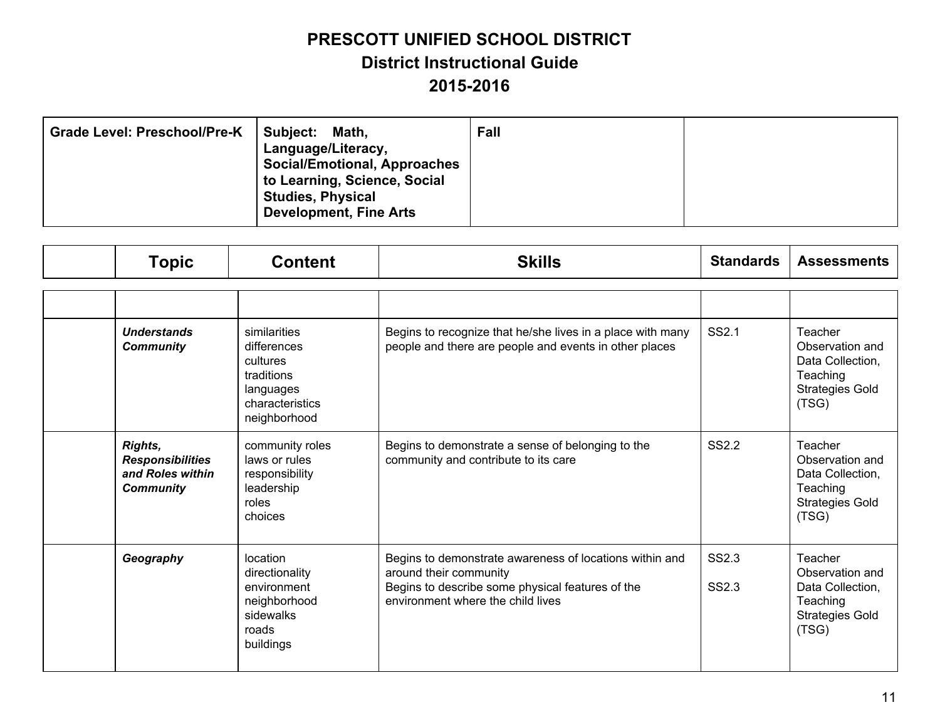| <b>Grade Level: Preschool/Pre-K</b><br>Subject:<br>Math,<br>Language/Literacy,<br><b>Social/Emotional, Approaches</b><br>to Learning, Science, Social<br><b>Studies, Physical</b><br><b>Development, Fine Arts</b> | Fall |  |
|--------------------------------------------------------------------------------------------------------------------------------------------------------------------------------------------------------------------|------|--|
|--------------------------------------------------------------------------------------------------------------------------------------------------------------------------------------------------------------------|------|--|

| <b>Topic</b>                                                                      | <b>Content</b>                                                                                        | <b>Skills</b>                                                                                                                                                              | <b>Standards</b> | <b>Assessments</b>                                                                            |
|-----------------------------------------------------------------------------------|-------------------------------------------------------------------------------------------------------|----------------------------------------------------------------------------------------------------------------------------------------------------------------------------|------------------|-----------------------------------------------------------------------------------------------|
|                                                                                   |                                                                                                       |                                                                                                                                                                            |                  |                                                                                               |
| <b>Understands</b><br><b>Community</b>                                            | similarities<br>differences<br>cultures<br>traditions<br>languages<br>characteristics<br>neighborhood | Begins to recognize that he/she lives in a place with many<br>people and there are people and events in other places                                                       | SS2.1            | Teacher<br>Observation and<br>Data Collection,<br>Teaching<br><b>Strategies Gold</b><br>(TSG) |
| <b>Rights,</b><br><b>Responsibilities</b><br>and Roles within<br><b>Community</b> | community roles<br>laws or rules<br>responsibility<br>leadership<br>roles<br>choices                  | Begins to demonstrate a sense of belonging to the<br>community and contribute to its care                                                                                  | <b>SS2.2</b>     | Teacher<br>Observation and<br>Data Collection,<br>Teaching<br><b>Strategies Gold</b><br>(TSG) |
| Geography                                                                         | location<br>directionality<br>environment<br>neighborhood<br>sidewalks<br>roads<br>buildings          | Begins to demonstrate awareness of locations within and<br>around their community<br>Begins to describe some physical features of the<br>environment where the child lives | SS2.3<br>SS2.3   | Teacher<br>Observation and<br>Data Collection,<br>Teaching<br><b>Strategies Gold</b><br>(TSG) |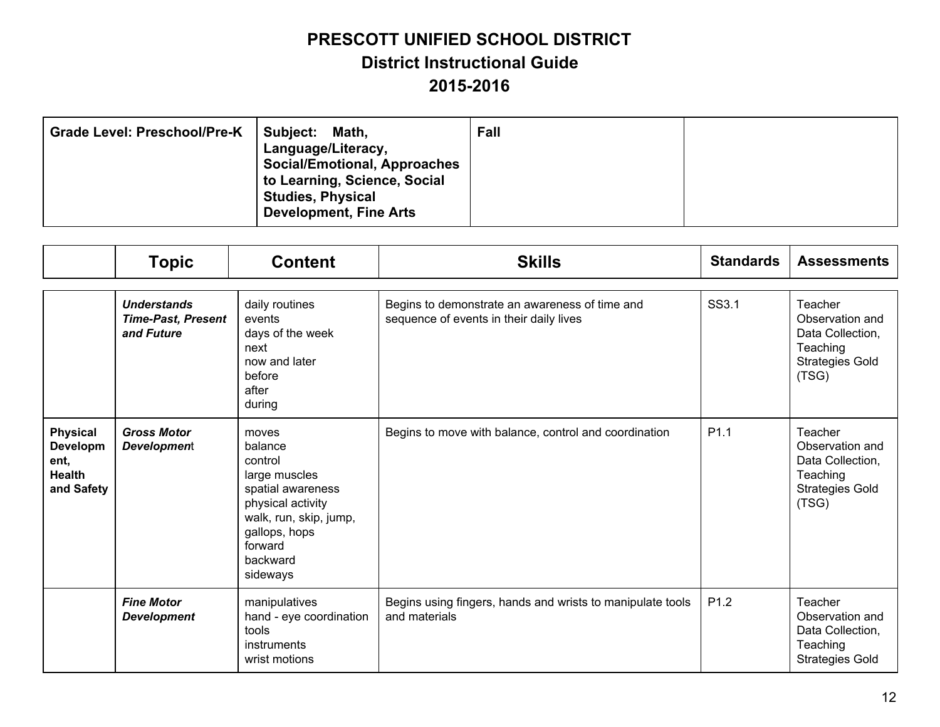| <b>Grade Level: Preschool/Pre-K</b><br>Subject: | Math.<br>Language/Literacy,<br><b>Social/Emotional, Approaches</b><br>to Learning, Science, Social<br><b>Studies, Physical</b><br><b>Development, Fine Arts</b> | Fall |  |
|-------------------------------------------------|-----------------------------------------------------------------------------------------------------------------------------------------------------------------|------|--|
|-------------------------------------------------|-----------------------------------------------------------------------------------------------------------------------------------------------------------------|------|--|

|                                                                    | <b>Topic</b>                                                  | <b>Content</b>                                                                                                                                                       | <b>Skills</b>                                                                             | <b>Standards</b> | <b>Assessments</b>                                                                            |
|--------------------------------------------------------------------|---------------------------------------------------------------|----------------------------------------------------------------------------------------------------------------------------------------------------------------------|-------------------------------------------------------------------------------------------|------------------|-----------------------------------------------------------------------------------------------|
|                                                                    | <b>Understands</b><br><b>Time-Past, Present</b><br>and Future | daily routines<br>events<br>days of the week<br>next<br>now and later<br>before<br>after<br>during                                                                   | Begins to demonstrate an awareness of time and<br>sequence of events in their daily lives | SS3.1            | Teacher<br>Observation and<br>Data Collection,<br>Teaching<br><b>Strategies Gold</b><br>(TSG) |
| <b>Physical</b><br>Developm<br>ent,<br><b>Health</b><br>and Safety | <b>Gross Motor</b><br><b>Development</b>                      | moves<br>balance<br>control<br>large muscles<br>spatial awareness<br>physical activity<br>walk, run, skip, jump,<br>gallops, hops<br>forward<br>backward<br>sideways | Begins to move with balance, control and coordination                                     | P <sub>1.1</sub> | Teacher<br>Observation and<br>Data Collection,<br>Teaching<br><b>Strategies Gold</b><br>(TSG) |
|                                                                    | <b>Fine Motor</b><br><b>Development</b>                       | manipulatives<br>hand - eye coordination<br>tools<br>instruments<br>wrist motions                                                                                    | Begins using fingers, hands and wrists to manipulate tools<br>and materials               | P <sub>1.2</sub> | Teacher<br>Observation and<br>Data Collection,<br>Teaching<br><b>Strategies Gold</b>          |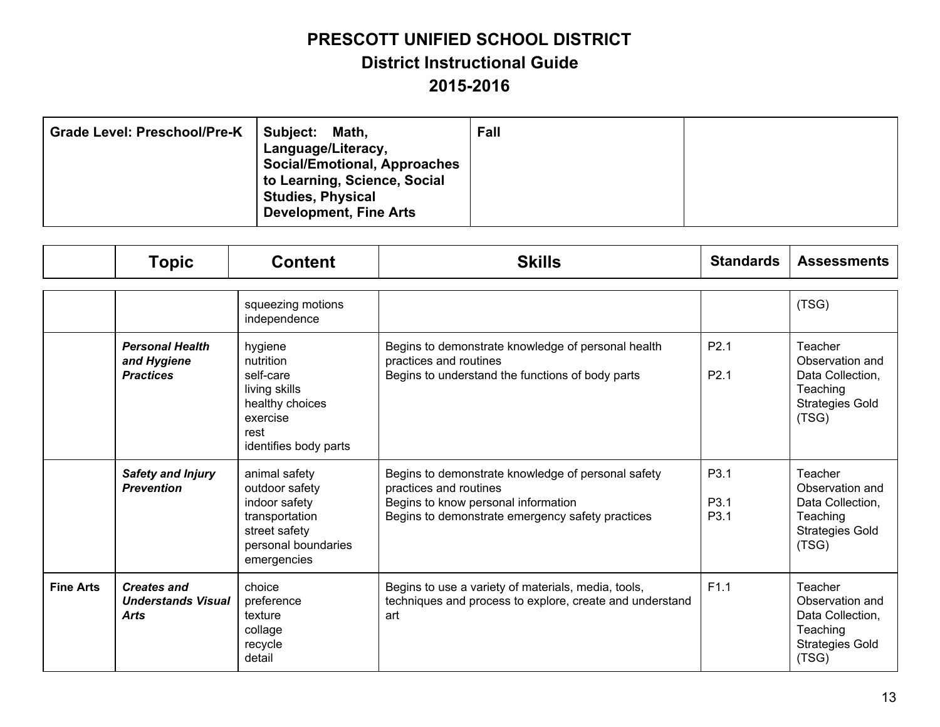| <b>Grade Level: Preschool/Pre-K</b><br>Subject: | Math,<br>Language/Literacy,<br><b>Social/Emotional, Approaches</b><br>to Learning, Science, Social<br><b>Studies, Physical</b><br><b>Development, Fine Arts</b> | Fall |  |
|-------------------------------------------------|-----------------------------------------------------------------------------------------------------------------------------------------------------------------|------|--|
|-------------------------------------------------|-----------------------------------------------------------------------------------------------------------------------------------------------------------------|------|--|

|                  | <b>Topic</b>                                                   | <b>Content</b>                                                                                                            | <b>Skills</b>                                                                                                                                                           | <b>Standards</b>                             | <b>Assessments</b>                                                                            |
|------------------|----------------------------------------------------------------|---------------------------------------------------------------------------------------------------------------------------|-------------------------------------------------------------------------------------------------------------------------------------------------------------------------|----------------------------------------------|-----------------------------------------------------------------------------------------------|
|                  |                                                                | squeezing motions<br>independence                                                                                         |                                                                                                                                                                         |                                              | (TSG)                                                                                         |
|                  | <b>Personal Health</b><br>and Hygiene<br><b>Practices</b>      | hygiene<br>nutrition<br>self-care<br>living skills<br>healthy choices<br>exercise<br>rest<br>identifies body parts        | Begins to demonstrate knowledge of personal health<br>practices and routines<br>Begins to understand the functions of body parts                                        | P <sub>2.1</sub><br>P <sub>2.1</sub>         | Teacher<br>Observation and<br>Data Collection,<br>Teaching<br><b>Strategies Gold</b><br>(TSG) |
|                  | <b>Safety and Injury</b><br><b>Prevention</b>                  | animal safety<br>outdoor safety<br>indoor safety<br>transportation<br>street safety<br>personal boundaries<br>emergencies | Begins to demonstrate knowledge of personal safety<br>practices and routines<br>Begins to know personal information<br>Begins to demonstrate emergency safety practices | P <sub>3.1</sub><br>P <sub>3.1</sub><br>P3.1 | Teacher<br>Observation and<br>Data Collection,<br>Teaching<br><b>Strategies Gold</b><br>(TSG) |
| <b>Fine Arts</b> | <b>Creates and</b><br><b>Understands Visual</b><br><b>Arts</b> | choice<br>preference<br>texture<br>collage<br>recycle<br>detail                                                           | Begins to use a variety of materials, media, tools,<br>techniques and process to explore, create and understand<br>art                                                  | F1.1                                         | Teacher<br>Observation and<br>Data Collection,<br>Teaching<br><b>Strategies Gold</b><br>(TSG) |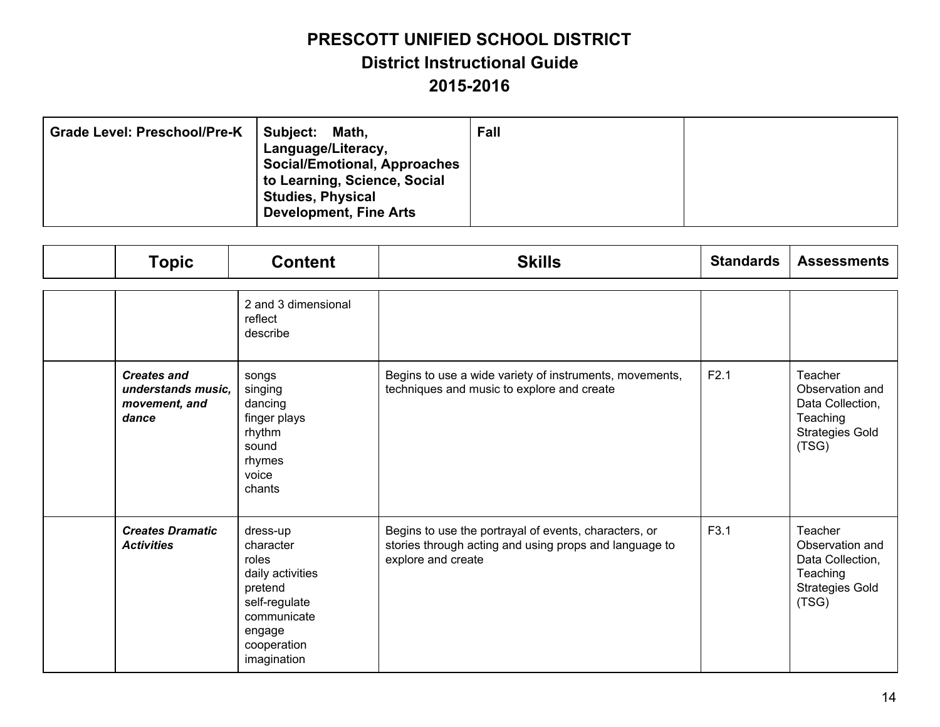| <b>Grade Level: Preschool/Pre-K</b> | Subject:<br>Math,<br>Language/Literacy,<br><b>Social/Emotional, Approaches</b><br>to Learning, Science, Social<br><b>Studies, Physical</b><br><b>Development, Fine Arts</b> | Fall |  |
|-------------------------------------|-----------------------------------------------------------------------------------------------------------------------------------------------------------------------------|------|--|
|-------------------------------------|-----------------------------------------------------------------------------------------------------------------------------------------------------------------------------|------|--|

| <b>Topic</b>                                                       | <b>Content</b>                                                                                                                        | <b>Skills</b>                                                                                                                         | <b>Standards</b> | <b>Assessments</b>                                                                            |
|--------------------------------------------------------------------|---------------------------------------------------------------------------------------------------------------------------------------|---------------------------------------------------------------------------------------------------------------------------------------|------------------|-----------------------------------------------------------------------------------------------|
|                                                                    | 2 and 3 dimensional<br>reflect<br>describe                                                                                            |                                                                                                                                       |                  |                                                                                               |
| <b>Creates and</b><br>understands music.<br>movement, and<br>dance | songs<br>singing<br>dancing<br>finger plays<br>rhythm<br>sound<br>rhymes<br>voice<br>chants                                           | Begins to use a wide variety of instruments, movements,<br>techniques and music to explore and create                                 | F2.1             | Teacher<br>Observation and<br>Data Collection,<br>Teaching<br><b>Strategies Gold</b><br>(TSG) |
| <b>Creates Dramatic</b><br><b>Activities</b>                       | dress-up<br>character<br>roles<br>daily activities<br>pretend<br>self-regulate<br>communicate<br>engage<br>cooperation<br>imagination | Begins to use the portrayal of events, characters, or<br>stories through acting and using props and language to<br>explore and create | F3.1             | Teacher<br>Observation and<br>Data Collection,<br>Teaching<br><b>Strategies Gold</b><br>(TSG) |